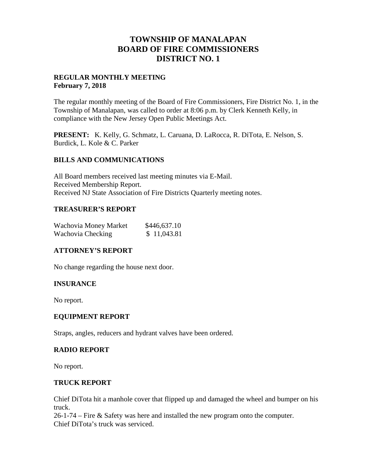## **TOWNSHIP OF MANALAPAN BOARD OF FIRE COMMISSIONERS DISTRICT NO. 1**

#### **REGULAR MONTHLY MEETING February 7, 2018**

The regular monthly meeting of the Board of Fire Commissioners, Fire District No. 1, in the Township of Manalapan, was called to order at 8:06 p.m. by Clerk Kenneth Kelly, in compliance with the New Jersey Open Public Meetings Act.

**PRESENT:** K. Kelly, G. Schmatz, L. Caruana, D. LaRocca, R. DiTota, E. Nelson, S. Burdick, L. Kole & C. Parker

#### **BILLS AND COMMUNICATIONS**

All Board members received last meeting minutes via E-Mail. Received Membership Report. Received NJ State Association of Fire Districts Quarterly meeting notes.

#### **TREASURER'S REPORT**

| Wachovia Money Market | \$446,637.10 |  |
|-----------------------|--------------|--|
| Wachovia Checking     | \$11,043.81  |  |

## **ATTORNEY'S REPORT**

No change regarding the house next door.

#### **INSURANCE**

No report.

#### **EQUIPMENT REPORT**

Straps, angles, reducers and hydrant valves have been ordered.

#### **RADIO REPORT**

No report.

#### **TRUCK REPORT**

Chief DiTota hit a manhole cover that flipped up and damaged the wheel and bumper on his truck.

26-1-74 – Fire & Safety was here and installed the new program onto the computer. Chief DiTota's truck was serviced.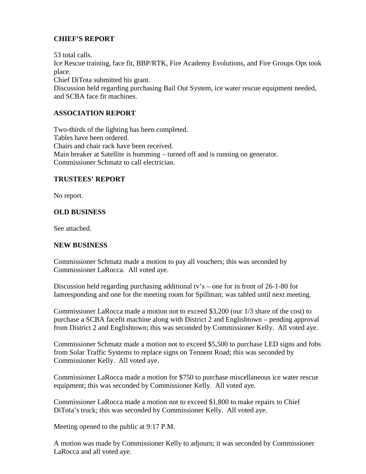## **CHIEF'S REPORT**

53 total calls. Ice Rescue training, face fit, BBP/RTK, Fire Academy Evolutions, and Fire Groups Ops took place. Chief DiTota submitted his grant. Discussion held regarding purchasing Bail Out System, ice water rescue equipment needed, and SCBA face fit machines.

## **ASSOCIATION REPORT**

Two-thirds of the lighting has been completed. Tables have been ordered. Chairs and chair rack have been received. Main breaker at Satellite is humming – turned off and is running on generator. Commissioner Schmatz to call electrician.

## **TRUSTEES' REPORT**

No report.

## **OLD BUSINESS**

See attached.

## **NEW BUSINESS**

Commissioner Schmatz made a motion to pay all vouchers; this was seconded by Commissioner LaRocca. All voted aye.

Discussion held regarding purchasing additional tv's – one for in front of 26-1-80 for Iamresponding and one for the meeting room for Spillman; was tabled until next meeting.

Commissioner LaRocca made a motion not to exceed \$3,200 (our 1/3 share of the cost) to purchase a SCBA facefit machine along with District 2 and Englishtown – pending approval from District 2 and Englishtown; this was seconded by Commissioner Kelly. All voted aye.

Commissioner Schmatz made a motion not to exceed \$5,500 to purchase LED signs and fobs from Solar Traffic Systems to replace signs on Tennent Road; this was seconded by Commissioner Kelly. All voted aye.

Commissioner LaRocca made a motion for \$750 to purchase miscellaneous ice water rescue equipment; this was seconded by Commissioner Kelly. All voted aye.

Commissioner LaRocca made a motion not to exceed \$1,800 to make repairs to Chief DiTota's truck; this was seconded by Commissioner Kelly. All voted aye.

Meeting opened to the public at 9:17 P.M.

A motion was made by Commissioner Kelly to adjourn; it was seconded by Commissioner LaRocca and all voted aye.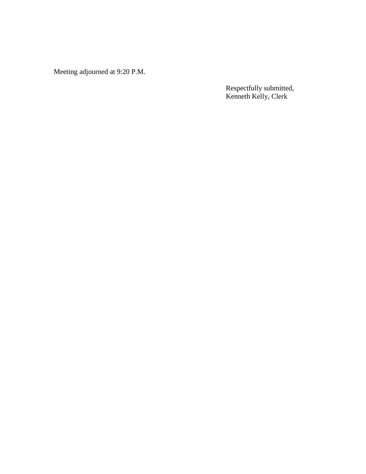Meeting adjourned at 9:20 P.M.

Respectfully submitted, Kenneth Kelly, Clerk